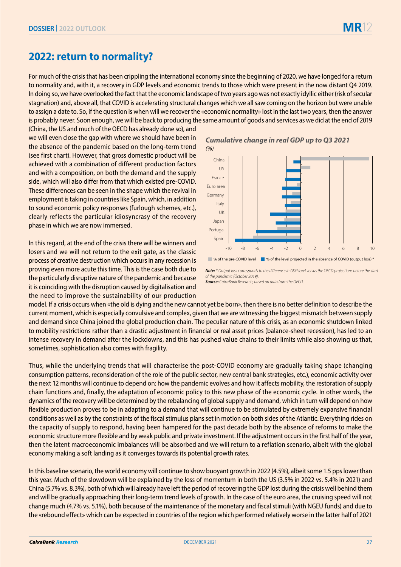## **2022: return to normality?**

For much of the crisis that has been crippling the international economy since the beginning of 2020, we have longed for a return to normality and, with it, a recovery in GDP levels and economic trends to those which were present in the now distant Q4 2019. In doing so, we have overlooked the fact that the economic landscape of two years ago was not exactly idyllic either (risk of secular stagnation) and, above all, that COVID is accelerating structural changes which we all saw coming on the horizon but were unable to assign a date to. So, if the question is when will we recover the «economic normality» lost in the last two years, then the answer is probably never. Soon enough, we will be back to producing the same amount of goods and services as we did at the end of 2019

(China, the US and much of the OECD has already done so), and we will even close the gap with where we should have been in the absence of the pandemic based on the long-term trend (see first chart). However, that gross domestic product will be achieved with a combination of different production factors and with a composition, on both the demand and the supply side, which will also differ from that which existed pre-COVID. These differences can be seen in the shape which the revival in employment is taking in countries like Spain, which, in addition to sound economic policy responses (furlough schemes, etc.), clearly reflects the particular idiosyncrasy of the recovery phase in which we are now immersed.

In this regard, at the end of the crisis there will be winners and losers and we will not return to the exit gate, as the classic process of creative destruction which occurs in any recession is proving even more acute this time. This is the case both due to the particularly disruptive nature of the pandemic and because it is coinciding with the disruption caused by digitalisation and the need to improve the sustainability of our production

*Cumulative change in real GDP up to Q3 2021 (%)*



% of the pre-COVID level \ \ % of the level projected in the absence of COVID (output loss) \*

*Note: \* Output loss corresponds to the difference in GDP level versus the OECD projections before the start of the pandemic (October 2019). Source: CaixaBank Research, based on data from the OECD.*

model. If a crisis occurs when «the old is dying and the new cannot yet be born», then there is no better definition to describe the current moment, which is especially convulsive and complex, given that we are witnessing the biggest mismatch between supply and demand since China joined the global production chain. The peculiar nature of this crisis, as an economic shutdown linked to mobility restrictions rather than a drastic adjustment in financial or real asset prices (balance-sheet recession), has led to an intense recovery in demand after the lockdowns, and this has pushed value chains to their limits while also showing us that, sometimes, sophistication also comes with fragility.

Thus, while the underlying trends that will characterise the post-COVID economy are gradually taking shape (changing consumption patterns, reconsideration of the role of the public sector, new central bank strategies, etc.), economic activity over the next 12 months will continue to depend on: how the pandemic evolves and how it affects mobility, the restoration of supply chain functions and, finally, the adaptation of economic policy to this new phase of the economic cycle. In other words, the dynamics of the recovery will be determined by the rebalancing of global supply and demand, which in turn will depend on how flexible production proves to be in adapting to a demand that will continue to be stimulated by extremely expansive financial conditions as well as by the constraints of the fiscal stimulus plans set in motion on both sides of the Atlantic. Everything rides on the capacity of supply to respond, having been hampered for the past decade both by the absence of reforms to make the economic structure more flexible and by weak public and private investment. If the adjustment occurs in the first half of the year, then the latent macroeconomic imbalances will be absorbed and we will return to a reflation scenario, albeit with the global economy making a soft landing as it converges towards its potential growth rates.

In this baseline scenario, the world economy will continue to show buoyant growth in 2022 (4.5%), albeit some 1.5 pps lower than this year. Much of the slowdown will be explained by the loss of momentum in both the US (3.5% in 2022 vs. 5.4% in 2021) and China (5.7% vs. 8.3%), both of which will already have left the period of recovering the GDP lost during the crisis well behind them and will be gradually approaching their long-term trend levels of growth. In the case of the euro area, the cruising speed will not change much (4.7% vs. 5.1%), both because of the maintenance of the monetary and fiscal stimuli (with NGEU funds) and due to the «rebound effect» which can be expected in countries of the region which performed relatively worse in the latter half of 2021